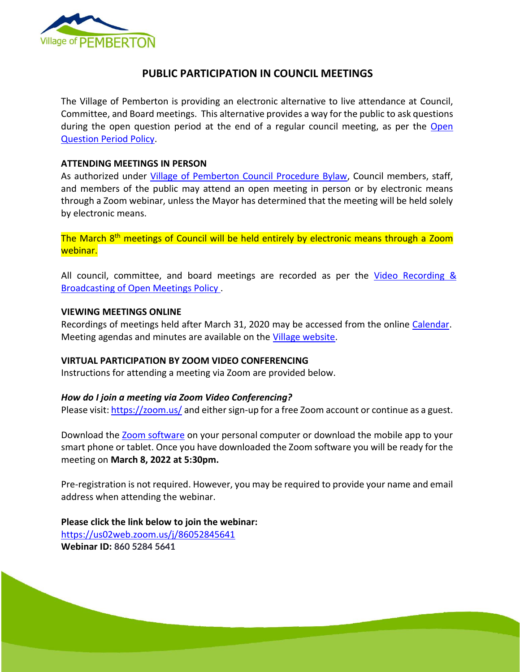

# **PUBLIC PARTICIPATION IN COUNCIL MEETINGS**

The Village of Pemberton is providing an electronic alternative to live attendance at Council, Committee, and Board meetings. This alternative provides a way for the public to ask questions during the open question period at the end of a regular council meeting, as per the [Open](file://///VOP-AD01/VOPIndex$/0100-0699_ADMIN/0550.20-MinutesAgendasbyDate/2020/Agenda%20Prep/15_Open_Question_Period_Policy_Amended2015.pdf)  [Question Period Policy.](file://///VOP-AD01/VOPIndex$/0100-0699_ADMIN/0550.20-MinutesAgendasbyDate/2020/Agenda%20Prep/15_Open_Question_Period_Policy_Amended2015.pdf)

### **ATTENDING MEETINGS IN PERSON**

As authorized under [Village of Pemberton Council Procedure Bylaw,](https://www.pemberton.ca/public/download/files/194951) Council members, staff, and members of the public may attend an open meeting in person or by electronic means through a Zoom webinar, unless the Mayor has determined that the meeting will be held solely by electronic means.

The March 8<sup>th</sup> meetings of Council will be held entirely by electronic means through a Zoom webinar.

All council, committee, and board meetings are recorded as per the Video Recording & [Broadcasting of Open Meetings Policy .](https://www.pemberton.ca/public/download/files/118762)

## **VIEWING MEETINGS ONLINE**

Recordings of meetings held after March 31, 2020 may be accessed from the online [Calendar.](https://www.pemberton.ca/municipal-services/calendar) Meeting agendas and minutes are available on the [Village website.](https://www.pemberton.ca/government/documents#category/2769)

#### **VIRTUAL PARTICIPATION BY ZOOM VIDEO CONFERENCING**

Instructions for attending a meeting via Zoom are provided below.

### *How do I join a meeting via Zoom Video Conferencing?*

Please visit:<https://zoom.us/> and either sign-up for a free Zoom account or continue as a guest.

Download the [Zoom software](https://zoom.us/download) on your personal computer or download the mobile app to your smart phone or tablet. Once you have downloaded the Zoom software you will be ready for the meeting on **March 8, 2022 at 5:30pm.**

Pre-registration is not required. However, you may be required to provide your name and email address when attending the webinar.

Page 1 of 2

**Please click the link below to join the webinar:** <https://us02web.zoom.us/j/86052845641>

**Webinar ID: 860 5284 5641**